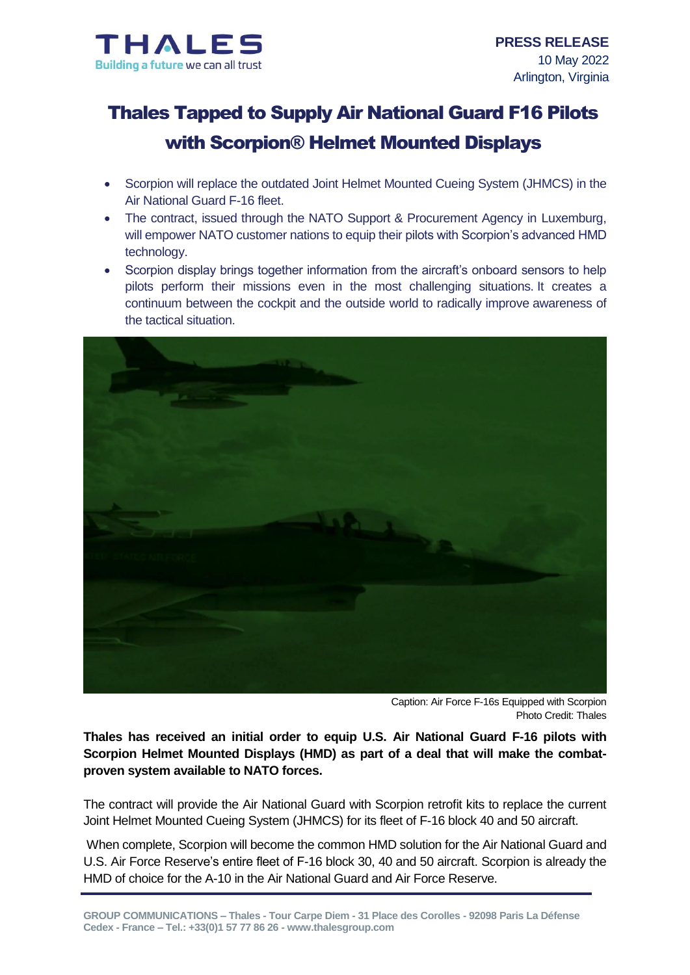

# Thales Tapped to Supply Air National Guard F16 Pilots with Scorpion® Helmet Mounted Displays

- Scorpion will replace the outdated Joint Helmet Mounted Cueing System (JHMCS) in the Air National Guard F-16 fleet.
- The contract, issued through the NATO Support & Procurement Agency in Luxemburg, will empower NATO customer nations to equip their pilots with Scorpion's advanced HMD technology.
- Scorpion display brings together information from the aircraft's onboard sensors to help pilots perform their missions even in the most challenging situations. It creates a continuum between the cockpit and the outside world to radically improve awareness of the tactical situation.



Caption: Air Force F-16s Equipped with Scorpion Photo Credit: Thales

**Thales has received an initial order to equip U.S. Air National Guard F-16 pilots with Scorpion Helmet Mounted Displays (HMD) as part of a deal that will make the combatproven system available to NATO forces.**

The contract will provide the Air National Guard with Scorpion retrofit kits to replace the current Joint Helmet Mounted Cueing System (JHMCS) for its fleet of F-16 block 40 and 50 aircraft.

When complete, Scorpion will become the common HMD solution for the Air National Guard and U.S. Air Force Reserve's entire fleet of F-16 block 30, 40 and 50 aircraft. Scorpion is already the HMD of choice for the A-10 in the Air National Guard and Air Force Reserve.